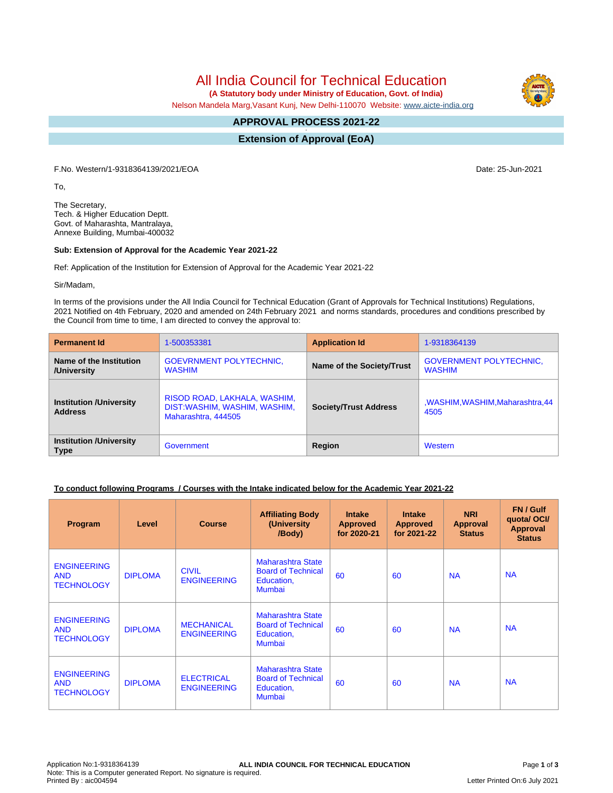All India Council for Technical Education

 **(A Statutory body under Ministry of Education, Govt. of India)**

Nelson Mandela Marg,Vasant Kunj, New Delhi-110070 Website: [www.aicte-india.org](http://www.aicte-india.org)

#### **APPROVAL PROCESS 2021-22 -**

**Extension of Approval (EoA)**

F.No. Western/1-9318364139/2021/EOA Date: 25-Jun-2021

To,

The Secretary, Tech. & Higher Education Deptt. Govt. of Maharashta, Mantralaya, Annexe Building, Mumbai-400032

#### **Sub: Extension of Approval for the Academic Year 2021-22**

Ref: Application of the Institution for Extension of Approval for the Academic Year 2021-22

Sir/Madam,

In terms of the provisions under the All India Council for Technical Education (Grant of Approvals for Technical Institutions) Regulations, 2021 Notified on 4th February, 2020 and amended on 24th February 2021 and norms standards, procedures and conditions prescribed by the Council from time to time, I am directed to convey the approval to:

| <b>Permanent Id</b>                              | 1-500353381                                                                         | <b>Application Id</b>        | 1-9318364139                                    |  |
|--------------------------------------------------|-------------------------------------------------------------------------------------|------------------------------|-------------------------------------------------|--|
| Name of the Institution<br>/University           | <b>GOEVRNMENT POLYTECHNIC.</b><br><b>WASHIM</b>                                     | Name of the Society/Trust    | <b>GOVERNMENT POLYTECHNIC,</b><br><b>WASHIM</b> |  |
| <b>Institution /University</b><br><b>Address</b> | RISOD ROAD, LAKHALA, WASHIM,<br>DIST:WASHIM, WASHIM, WASHIM,<br>Maharashtra, 444505 | <b>Society/Trust Address</b> | ,WASHIM,WASHIM,Maharashtra,44<br>4505           |  |
| <b>Institution /University</b><br><b>Type</b>    | Government                                                                          | Region                       | Western                                         |  |

## **To conduct following Programs / Courses with the Intake indicated below for the Academic Year 2021-22**

| Program                                               | Level          | <b>Course</b>                           | <b>Affiliating Body</b><br>(University<br>/Body)                       | <b>Intake</b><br><b>Approved</b><br>for 2020-21 | <b>Intake</b><br><b>Approved</b><br>for 2021-22 | <b>NRI</b><br>Approval<br><b>Status</b> | FN / Gulf<br>quotal OCI/<br><b>Approval</b><br><b>Status</b> |
|-------------------------------------------------------|----------------|-----------------------------------------|------------------------------------------------------------------------|-------------------------------------------------|-------------------------------------------------|-----------------------------------------|--------------------------------------------------------------|
| <b>ENGINEERING</b><br><b>AND</b><br><b>TECHNOLOGY</b> | <b>DIPLOMA</b> | <b>CIVIL</b><br><b>ENGINEERING</b>      | Maharashtra State<br><b>Board of Technical</b><br>Education,<br>Mumbai | 60                                              | 60                                              | <b>NA</b>                               | <b>NA</b>                                                    |
| <b>ENGINEERING</b><br><b>AND</b><br><b>TECHNOLOGY</b> | <b>DIPLOMA</b> | <b>MECHANICAL</b><br><b>ENGINEERING</b> | Maharashtra State<br><b>Board of Technical</b><br>Education,<br>Mumbai | 60                                              | 60                                              | <b>NA</b>                               | <b>NA</b>                                                    |
| <b>ENGINEERING</b><br><b>AND</b><br><b>TECHNOLOGY</b> | <b>DIPLOMA</b> | <b>ELECTRICAL</b><br><b>ENGINEERING</b> | Maharashtra State<br><b>Board of Technical</b><br>Education,<br>Mumbai | 60                                              | 60                                              | <b>NA</b>                               | <b>NA</b>                                                    |

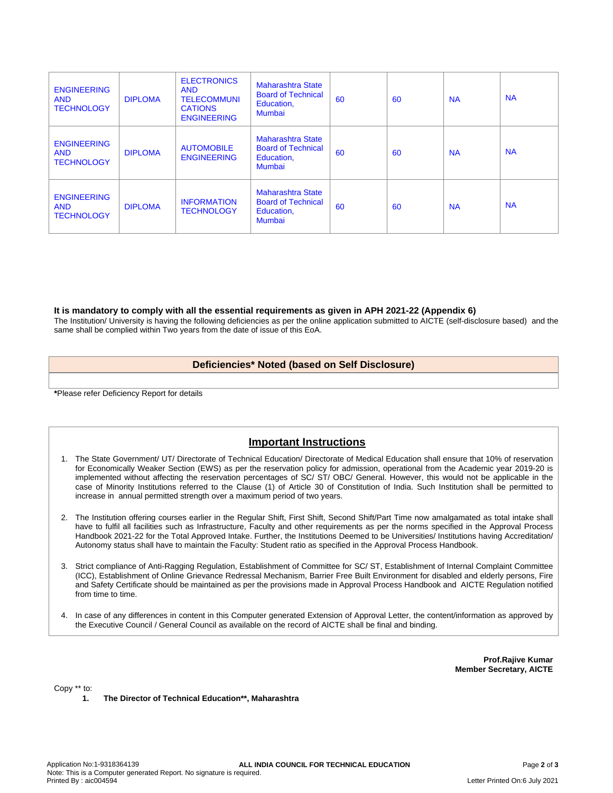| <b>ENGINEERING</b><br><b>AND</b><br><b>TECHNOLOGY</b> | <b>DIPLOMA</b> | <b>ELECTRONICS</b><br><b>AND</b><br><b>TELECOMMUNI</b><br><b>CATIONS</b><br><b>ENGINEERING</b> | <b>Maharashtra State</b><br><b>Board of Technical</b><br>Education,<br><b>Mumbai</b> | 60 | 60 | <b>NA</b> | <b>NA</b> |
|-------------------------------------------------------|----------------|------------------------------------------------------------------------------------------------|--------------------------------------------------------------------------------------|----|----|-----------|-----------|
| <b>ENGINEERING</b><br><b>AND</b><br><b>TECHNOLOGY</b> | <b>DIPLOMA</b> | <b>AUTOMOBILE</b><br><b>ENGINEERING</b>                                                        | Maharashtra State<br><b>Board of Technical</b><br>Education,<br>Mumbai               | 60 | 60 | <b>NA</b> | <b>NA</b> |
| <b>ENGINEERING</b><br><b>AND</b><br><b>TECHNOLOGY</b> | <b>DIPLOMA</b> | <b>INFORMATION</b><br><b>TECHNOLOGY</b>                                                        | <b>Maharashtra State</b><br><b>Board of Technical</b><br>Education,<br><b>Mumbai</b> | 60 | 60 | <b>NA</b> | <b>NA</b> |

#### **It is mandatory to comply with all the essential requirements as given in APH 2021-22 (Appendix 6)**

The Institution/ University is having the following deficiencies as per the online application submitted to AICTE (self-disclosure based) and the same shall be complied within Two years from the date of issue of this EoA.

### **Deficiencies\* Noted (based on Self Disclosure)**

**\***Please refer Deficiency Report for details

# **Important Instructions**

- 1. The State Government/ UT/ Directorate of Technical Education/ Directorate of Medical Education shall ensure that 10% of reservation for Economically Weaker Section (EWS) as per the reservation policy for admission, operational from the Academic year 2019-20 is implemented without affecting the reservation percentages of SC/ ST/ OBC/ General. However, this would not be applicable in the case of Minority Institutions referred to the Clause (1) of Article 30 of Constitution of India. Such Institution shall be permitted to increase in annual permitted strength over a maximum period of two years.
- 2. The Institution offering courses earlier in the Regular Shift, First Shift, Second Shift/Part Time now amalgamated as total intake shall have to fulfil all facilities such as Infrastructure, Faculty and other requirements as per the norms specified in the Approval Process Handbook 2021-22 for the Total Approved Intake. Further, the Institutions Deemed to be Universities/ Institutions having Accreditation/ Autonomy status shall have to maintain the Faculty: Student ratio as specified in the Approval Process Handbook.
- 3. Strict compliance of Anti-Ragging Regulation, Establishment of Committee for SC/ ST, Establishment of Internal Complaint Committee (ICC), Establishment of Online Grievance Redressal Mechanism, Barrier Free Built Environment for disabled and elderly persons, Fire and Safety Certificate should be maintained as per the provisions made in Approval Process Handbook and AICTE Regulation notified from time to time.
- 4. In case of any differences in content in this Computer generated Extension of Approval Letter, the content/information as approved by the Executive Council / General Council as available on the record of AICTE shall be final and binding.

**Prof.Rajive Kumar Member Secretary, AICTE**

Copy \*\* to:

**1. The Director of Technical Education\*\*, Maharashtra**